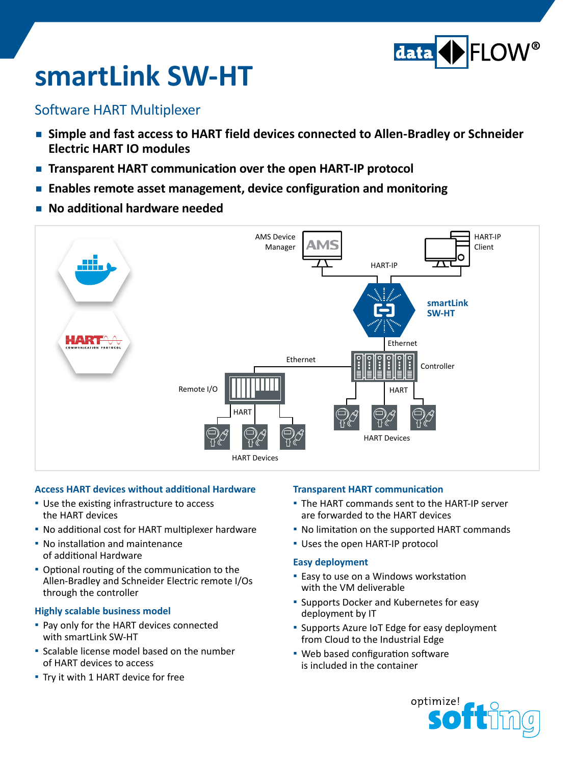

# **smartLink SW-HT**

### Software HART Multiplexer

- **Simple and fast access to HART field devices connected to Allen-Bradley or Schneider Electric HART IO modules**
- **Transparent HART communication over the open HART-IP protocol**
- **Enables remote asset management, device configuration and monitoring**
- **▪ No additional hardware needed**



#### **Access HART devices without additional Hardware**

- **▪**  Use the existing infrastructure to access the HART devices
- **▪**  No additional cost for HART multiplexer hardware
- **▪**  No installation and maintenance of additional Hardware
- Optional routing of the communication to the Allen-Bradley and Schneider Electric remote I/Os through the controller

#### **Highly scalable business model**

- Pay only for the HART devices connected with smartLink SW-HT
- **▪**  Scalable license model based on the number of HART devices to access
- **▪**  Try it with 1 HART device for free

#### **Transparent HART communication**

- The HART commands sent to the HART-IP server are forwarded to the HART devices
- **▪**  No limitation on the supported HART commands
- **▪**  Uses the open HART-IP protocol

#### **Easy deployment**

- **▪** Easy to use on a Windows workstation with the VM deliverable
- **▪** Supports Docker and Kubernetes for easy deployment by IT
- Supports Azure IoT Edge for easy deployment from Cloud to the Industrial Edge
- Web based configuration software is included in the container